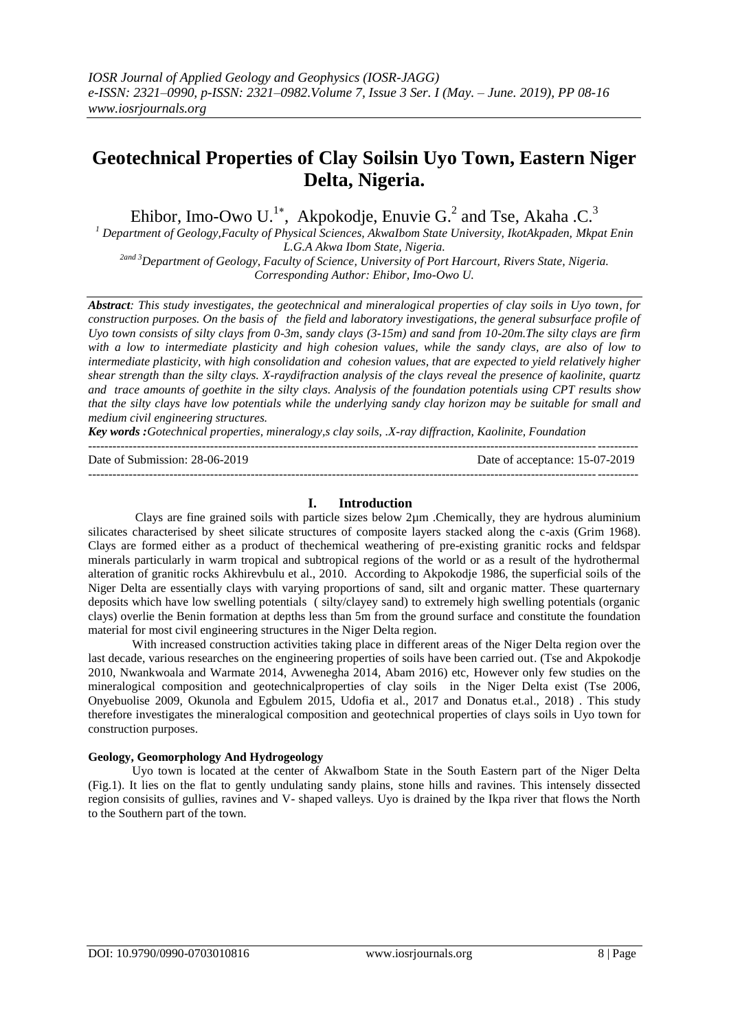# **Geotechnical Properties of Clay Soilsin Uyo Town, Eastern Niger Delta, Nigeria.**

Ehibor, Imo-Owo U.<sup>1\*</sup>, Akpokodje, Enuvie G.<sup>2</sup> and Tse, Akaha .C.<sup>3</sup>

*<sup>1</sup> Department of Geology,Faculty of Physical Sciences, AkwaIbom State University, IkotAkpaden, Mkpat Enin L.G.A Akwa Ibom State, Nigeria.*

*2and 3Department of Geology, Faculty of Science, University of Port Harcourt, Rivers State, Nigeria. Corresponding Author: Ehibor, Imo-Owo U.*

*Abstract: This study investigates, the geotechnical and mineralogical properties of clay soils in Uyo town, for construction purposes. On the basis of the field and laboratory investigations, the general subsurface profile of Uyo town consists of silty clays from 0-3m, sandy clays (3-15m) and sand from 10-20m.The silty clays are firm with a low to intermediate plasticity and high cohesion values, while the sandy clays, are also of low to intermediate plasticity, with high consolidation and cohesion values, that are expected to yield relatively higher shear strength than the silty clays. X-raydifraction analysis of the clays reveal the presence of kaolinite, quartz and trace amounts of goethite in the silty clays. Analysis of the foundation potentials using CPT results show that the silty clays have low potentials while the underlying sandy clay horizon may be suitable for small and medium civil engineering structures.*

*Key words :Gotechnical properties, mineralogy,s clay soils, .X-ray diffraction, Kaolinite, Foundation*

## **I. Introduction**

---------------------------------------------------------------------------------------------------------------------------------------

Clays are fine grained soils with particle sizes below 2µm .Chemically, they are hydrous aluminium silicates characterised by sheet silicate structures of composite layers stacked along the c-axis (Grim 1968). Clays are formed either as a product of thechemical weathering of pre-existing granitic rocks and feldspar minerals particularly in warm tropical and subtropical regions of the world or as a result of the hydrothermal alteration of granitic rocks Akhirevbulu et al., 2010. According to Akpokodje 1986, the superficial soils of the Niger Delta are essentially clays with varying proportions of sand, silt and organic matter. These quarternary deposits which have low swelling potentials ( silty/clayey sand) to extremely high swelling potentials (organic clays) overlie the Benin formation at depths less than 5m from the ground surface and constitute the foundation material for most civil engineering structures in the Niger Delta region.

With increased construction activities taking place in different areas of the Niger Delta region over the last decade, various researches on the engineering properties of soils have been carried out. (Tse and Akpokodje 2010, Nwankwoala and Warmate 2014, Avwenegha 2014, Abam 2016) etc, However only few studies on the mineralogical composition and geotechnicalproperties of clay soils in the Niger Delta exist (Tse 2006, Onyebuolise 2009, Okunola and Egbulem 2015, Udofia et al., 2017 and Donatus et.al., 2018) . This study therefore investigates the mineralogical composition and geotechnical properties of clays soils in Uyo town for construction purposes.

### **Geology, Geomorphology And Hydrogeology**

Uyo town is located at the center of AkwaIbom State in the South Eastern part of the Niger Delta (Fig.1). It lies on the flat to gently undulating sandy plains, stone hills and ravines. This intensely dissected region consisits of gullies, ravines and V- shaped valleys. Uyo is drained by the Ikpa river that flows the North to the Southern part of the town.

Date of Submission: 28-06-2019 Date of acceptance: 15-07-2019 --------------------------------------------------------------------------------------------------------------------------------------*-*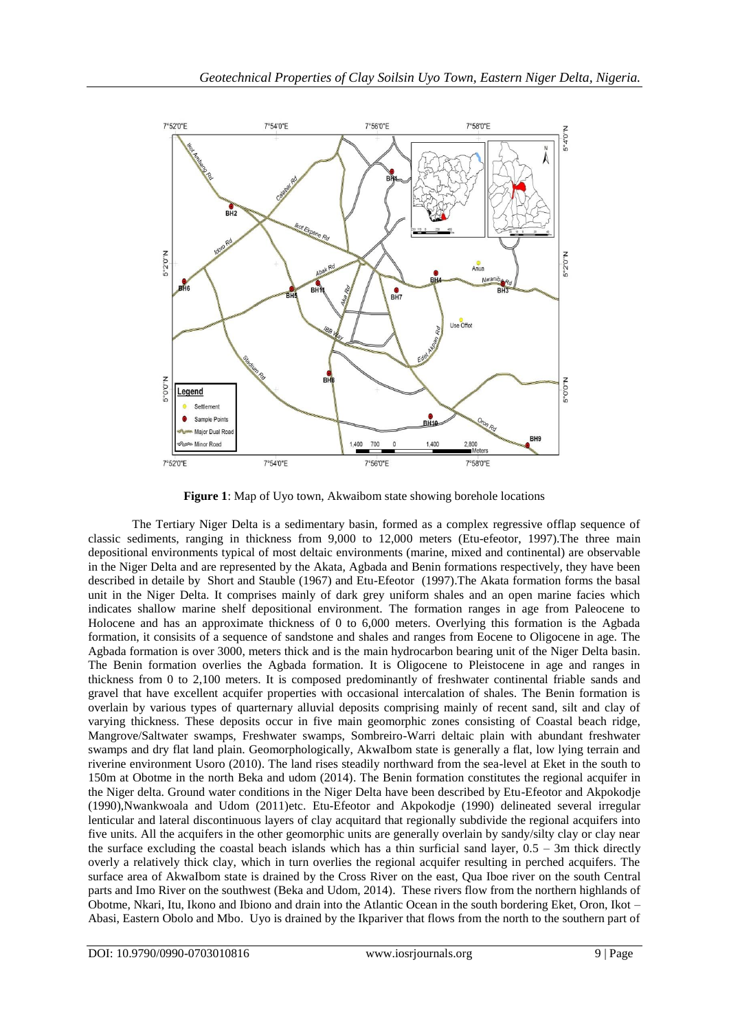

**Figure 1**: Map of Uyo town, Akwaibom state showing borehole locations

The Tertiary Niger Delta is a sedimentary basin, formed as a complex regressive offlap sequence of classic sediments, ranging in thickness from 9,000 to 12,000 meters (Etu-efeotor, 1997).The three main depositional environments typical of most deltaic environments (marine, mixed and continental) are observable in the Niger Delta and are represented by the Akata, Agbada and Benin formations respectively, they have been described in detaile by Short and Stauble (1967) and Etu-Efeotor (1997).The Akata formation forms the basal unit in the Niger Delta. It comprises mainly of dark grey uniform shales and an open marine facies which indicates shallow marine shelf depositional environment. The formation ranges in age from Paleocene to Holocene and has an approximate thickness of 0 to 6,000 meters. Overlying this formation is the Agbada formation, it consisits of a sequence of sandstone and shales and ranges from Eocene to Oligocene in age. The Agbada formation is over 3000, meters thick and is the main hydrocarbon bearing unit of the Niger Delta basin. The Benin formation overlies the Agbada formation. It is Oligocene to Pleistocene in age and ranges in thickness from 0 to 2,100 meters. It is composed predominantly of freshwater continental friable sands and gravel that have excellent acquifer properties with occasional intercalation of shales. The Benin formation is overlain by various types of quarternary alluvial deposits comprising mainly of recent sand, silt and clay of varying thickness. These deposits occur in five main geomorphic zones consisting of Coastal beach ridge, Mangrove/Saltwater swamps, Freshwater swamps, Sombreiro-Warri deltaic plain with abundant freshwater swamps and dry flat land plain. Geomorphologically, AkwaIbom state is generally a flat, low lying terrain and riverine environment Usoro (2010). The land rises steadily northward from the sea-level at Eket in the south to 150m at Obotme in the north Beka and udom (2014). The Benin formation constitutes the regional acquifer in the Niger delta. Ground water conditions in the Niger Delta have been described by Etu-Efeotor and Akpokodje (1990),Nwankwoala and Udom (2011)etc. Etu-Efeotor and Akpokodje (1990) delineated several irregular lenticular and lateral discontinuous layers of clay acquitard that regionally subdivide the regional acquifers into five units. All the acquifers in the other geomorphic units are generally overlain by sandy/silty clay or clay near the surface excluding the coastal beach islands which has a thin surficial sand layer, 0.5 – 3m thick directly overly a relatively thick clay, which in turn overlies the regional acquifer resulting in perched acquifers. The surface area of AkwaIbom state is drained by the Cross River on the east, Qua Iboe river on the south Central parts and Imo River on the southwest (Beka and Udom, 2014). These rivers flow from the northern highlands of Obotme, Nkari, Itu, Ikono and Ibiono and drain into the Atlantic Ocean in the south bordering Eket, Oron, Ikot – Abasi, Eastern Obolo and Mbo. Uyo is drained by the Ikpariver that flows from the north to the southern part of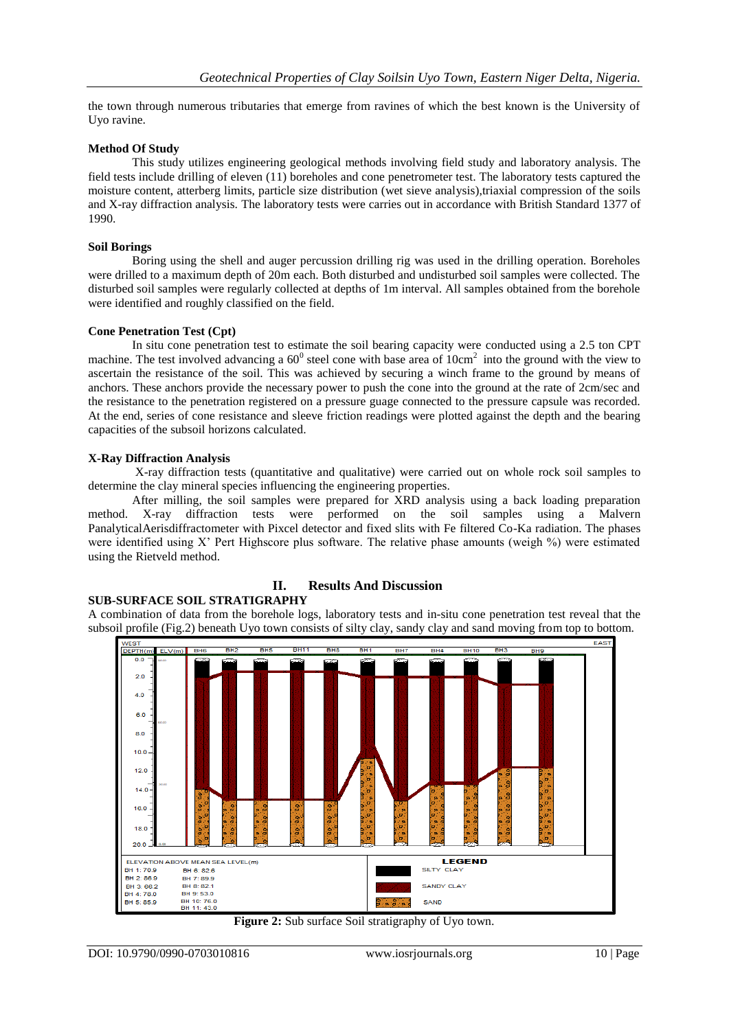the town through numerous tributaries that emerge from ravines of which the best known is the University of Uyo ravine.

## **Method Of Study**

This study utilizes engineering geological methods involving field study and laboratory analysis. The field tests include drilling of eleven (11) boreholes and cone penetrometer test. The laboratory tests captured the moisture content, atterberg limits, particle size distribution (wet sieve analysis),triaxial compression of the soils and X-ray diffraction analysis. The laboratory tests were carries out in accordance with British Standard 1377 of 1990.

### **Soil Borings**

Boring using the shell and auger percussion drilling rig was used in the drilling operation. Boreholes were drilled to a maximum depth of 20m each. Both disturbed and undisturbed soil samples were collected. The disturbed soil samples were regularly collected at depths of 1m interval. All samples obtained from the borehole were identified and roughly classified on the field.

## **Cone Penetration Test (Cpt)**

In situ cone penetration test to estimate the soil bearing capacity were conducted using a 2.5 ton CPT machine. The test involved advancing a  $60^{\circ}$  steel cone with base area of  $10 \text{cm}^2$  into the ground with the view to ascertain the resistance of the soil. This was achieved by securing a winch frame to the ground by means of anchors. These anchors provide the necessary power to push the cone into the ground at the rate of 2cm/sec and the resistance to the penetration registered on a pressure guage connected to the pressure capsule was recorded. At the end, series of cone resistance and sleeve friction readings were plotted against the depth and the bearing capacities of the subsoil horizons calculated.

## **X-Ray Diffraction Analysis**

X-ray diffraction tests (quantitative and qualitative) were carried out on whole rock soil samples to determine the clay mineral species influencing the engineering properties.

After milling, the soil samples were prepared for XRD analysis using a back loading preparation method. X-ray diffraction tests were performed on the soil samples using a Malvern PanalyticalAerisdiffractometer with Pixcel detector and fixed slits with Fe filtered Co-Ka radiation. The phases were identified using X' Pert Highscore plus software. The relative phase amounts (weigh %) were estimated using the Rietveld method.

# **SUB-SURFACE SOIL STRATIGRAPHY**

# **II. Results And Discussion**

A combination of data from the borehole logs, laboratory tests and in-situ cone penetration test reveal that the subsoil profile (Fig.2) beneath Uyo town consists of silty clay, sandy clay and sand moving from top to bottom.



**Figure 2:** Sub surface Soil stratigraphy of Uyo town.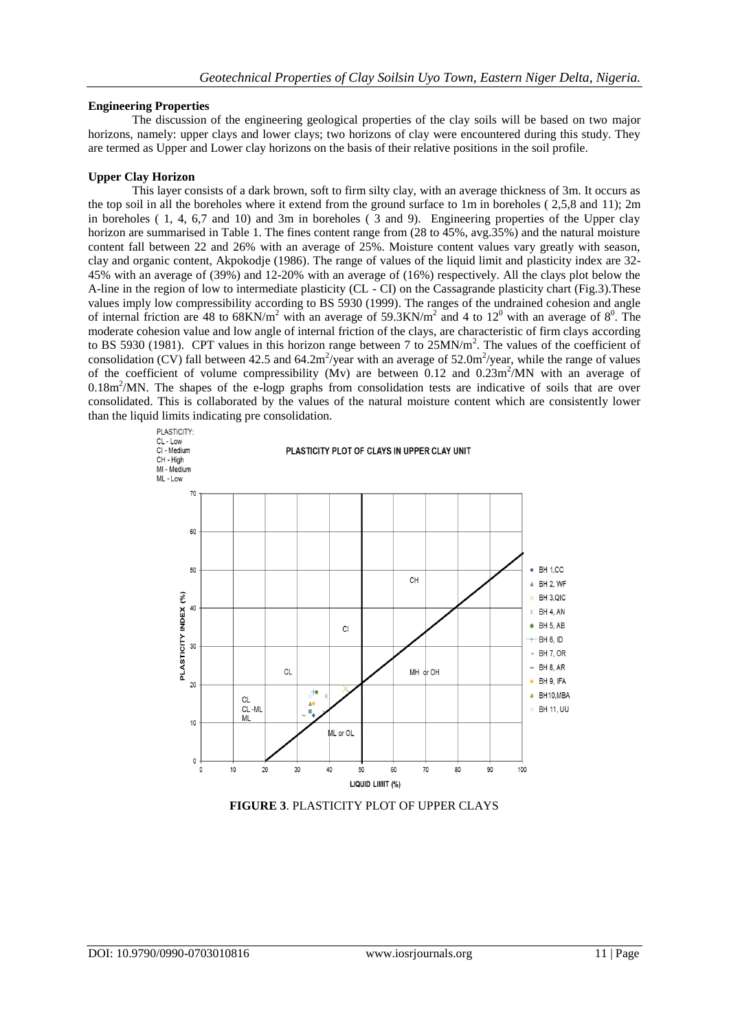# **Engineering Properties**

The discussion of the engineering geological properties of the clay soils will be based on two major horizons, namely: upper clays and lower clays; two horizons of clay were encountered during this study. They are termed as Upper and Lower clay horizons on the basis of their relative positions in the soil profile.

# **Upper Clay Horizon**

This layer consists of a dark brown, soft to firm silty clay, with an average thickness of 3m. It occurs as the top soil in all the boreholes where it extend from the ground surface to 1m in boreholes ( 2,5,8 and 11); 2m in boreholes ( 1, 4, 6,7 and 10) and 3m in boreholes ( 3 and 9). Engineering properties of the Upper clay horizon are summarised in Table 1. The fines content range from  $(28 \text{ to } 45\%, \text{avg.}35\%)$  and the natural moisture content fall between 22 and 26% with an average of 25%. Moisture content values vary greatly with season, clay and organic content, Akpokodje (1986). The range of values of the liquid limit and plasticity index are 32- 45% with an average of (39%) and 12-20% with an average of (16%) respectively. All the clays plot below the A-line in the region of low to intermediate plasticity (CL - CI) on the Cassagrande plasticity chart (Fig.3).These values imply low compressibility according to BS 5930 (1999). The ranges of the undrained cohesion and angle of internal friction are 48 to  $68KN/m^2$  with an average of 59.3KN/m<sup>2</sup> and 4 to 12<sup>0</sup> with an average of  $8^0$ . The moderate cohesion value and low angle of internal friction of the clays, are characteristic of firm clays according to BS 5930 (1981). CPT values in this horizon range between 7 to 25MN/m<sup>2</sup>. The values of the coefficient of consolidation (CV) fall between 42.5 and 64.2m<sup>2</sup>/year with an average of 52.0m<sup>2</sup>/year, while the range of values of the coefficient of volume compressibility (Mv) are between  $0.12$  and  $0.23$ m<sup>2</sup>/MN with an average of 0.18m<sup>2</sup>/MN. The shapes of the e-logp graphs from consolidation tests are indicative of soils that are over consolidated. This is collaborated by the values of the natural moisture content which are consistently lower than the liquid limits indicating pre consolidation.



**FIGURE 3**. PLASTICITY PLOT OF UPPER CLAYS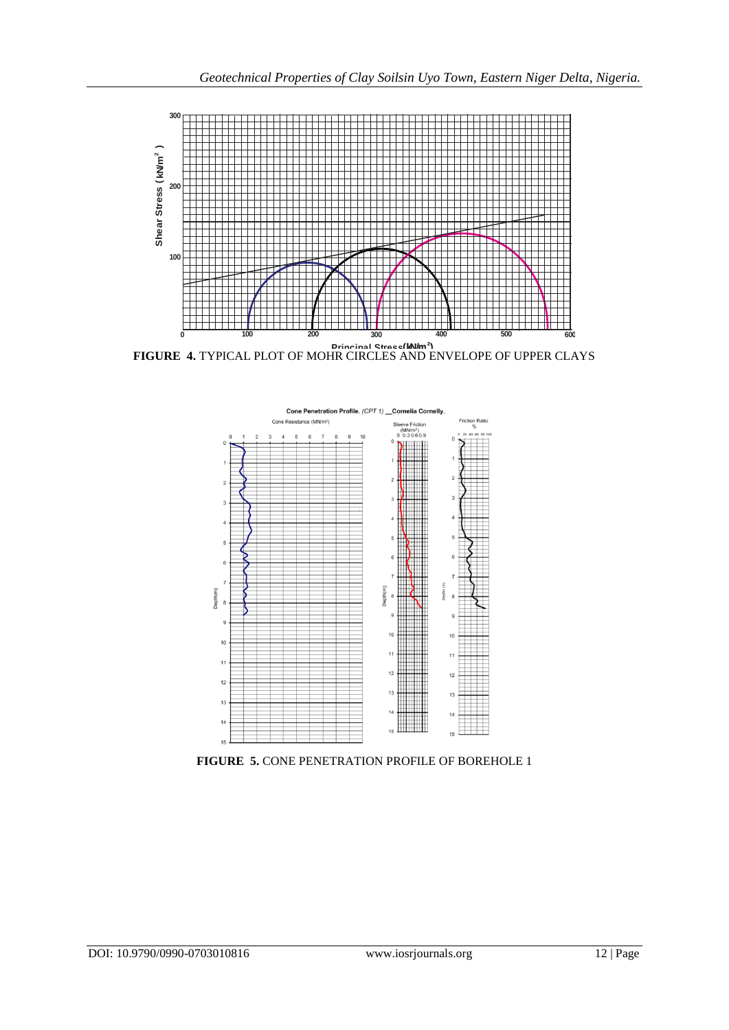

**FIGURE 4.** TYPICAL PLOT OF MOHR CIRCLES AND ENVELOPE OF UPPER CLAYS **( N/m <sup>2</sup> Principal Stress k )**



**FIGURE 5.** CONE PENETRATION PROFILE OF BOREHOLE 1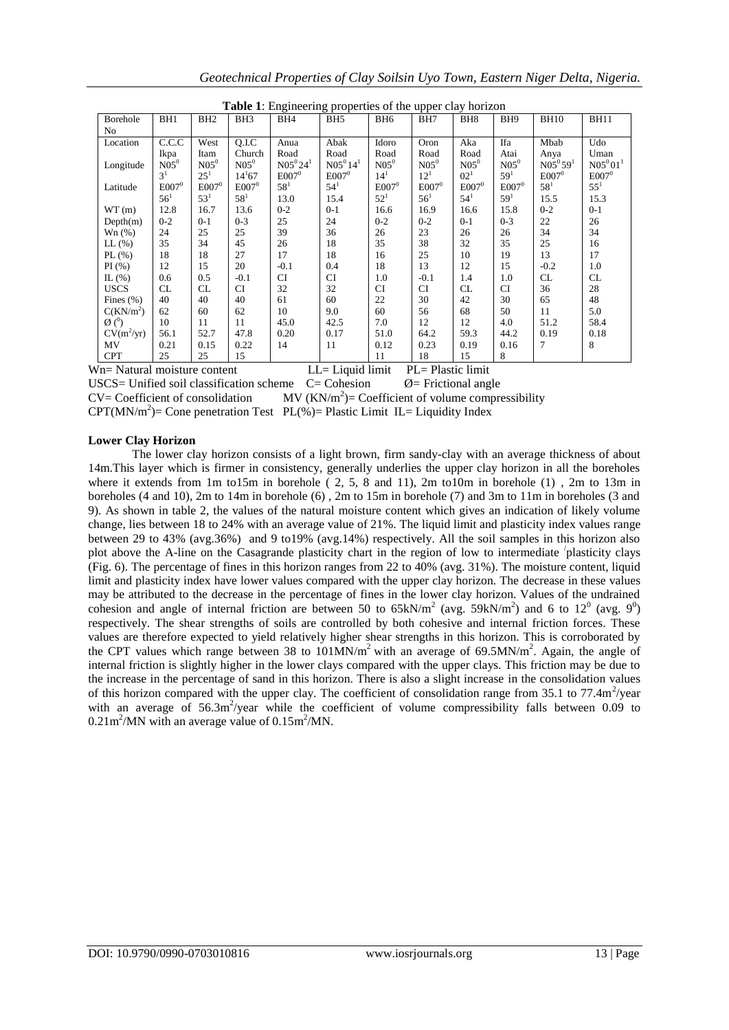| Geotechnical Properties of Clay Soilsin Uyo Town, Eastern Niger Delta, Nigeria. |  |  |  |  |
|---------------------------------------------------------------------------------|--|--|--|--|
|                                                                                 |  |  |  |  |

| <b>Table 1:</b> Engineering properties of the upper clay horizon |                 |                 |                 |                 |                 |                 |            |                 |                 |                 |                 |
|------------------------------------------------------------------|-----------------|-----------------|-----------------|-----------------|-----------------|-----------------|------------|-----------------|-----------------|-----------------|-----------------|
| Borehole                                                         | BH <sub>1</sub> | BH <sub>2</sub> | BH <sub>3</sub> | BH <sub>4</sub> | BH <sub>5</sub> | BH <sub>6</sub> | BH7        | BH <sub>8</sub> | BH <sub>9</sub> | <b>BH10</b>     | <b>BH11</b>     |
| N <sub>0</sub>                                                   |                 |                 |                 |                 |                 |                 |            |                 |                 |                 |                 |
| Location                                                         | C.C.C           | West            | Q.I.C           | Anua            | Abak            | Idoro           | Oron       | Aka             | Ifa             | Mbab            | Udo             |
|                                                                  | Ikpa            | Itam            | Church          | Road            | Road            | Road            | Road       | Road            | Atai            | Anya            | Uman            |
| Longitude                                                        | $N05^0$         | $N05^0$         | $N05^0$         | $N05^{0}24^{1}$ | $N05^{0}14^{1}$ | $N05^0$         | $N05^0$    | $N05^0$         | $N05^0$         | $N05^{0}59^{1}$ | $N05^{0}01^{1}$ |
|                                                                  | 3 <sup>1</sup>  | $25^{1}$        | $14^{1}67$      | $E007^0$        | $E007^0$        | $14^{1}$        | $12^{1}$   | $02^{1}$        | 59 <sup>1</sup> | $E007^0$        | $E007^0$        |
| Latitude                                                         | $E007^0$        | $E007^0$        | $E007^0$        | $58^{1}$        | $54^{1}$        | $E007^0$        | $E007^0$   | $E007^0$        | $E007^0$        | $58^{1}$        | $55^{1}$        |
|                                                                  | $56^1$          | $53^1$          | $58^1$          | 13.0            | 15.4            | $52^{1}$        | $56^1$     | $54^{1}$        | 59 <sup>1</sup> | 15.5            | 15.3            |
| WT(m)                                                            | 12.8            | 16.7            | 13.6            | $0 - 2$         | $0 - 1$         | 16.6            | 16.9       | 16.6            | 15.8            | $0 - 2$         | $0 - 1$         |
| Depth(m)                                                         | $0 - 2$         | $0 - 1$         | $0 - 3$         | 25              | 24              | $0 - 2$         | $0 - 2$    | $0 - 1$         | $0 - 3$         | 22              | 26              |
| Wn(%)                                                            | 24              | 25              | 25              | 39              | 36              | 26              | 23         | 26              | 26              | 34              | 34              |
| LL(%)                                                            | 35              | 34              | 45              | 26              | 18              | 35              | 38         | 32              | 35              | 25              | 16              |
| $PL$ (%)                                                         | 18              | 18              | 27              | 17              | 18              | 16              | 25         | 10              | 19              | 13              | 17              |
| PI(%)                                                            | 12              | 15              | 20              | $-0.1$          | 0.4             | 18              | 13         | 12              | 15              | $-0.2$          | 1.0             |
| IL $(\% )$                                                       | 0.6             | 0.5             | $-0.1$          | CI              | <b>CI</b>       | 1.0             | $-0.1$     | 1.4             | 1.0             | CL              | CL              |
| <b>USCS</b>                                                      | CL              | CL              | <b>CI</b>       | 32              | 32              | CI              | <b>CI</b>  | CL              | <b>CI</b>       | 36              | 28              |
| Fines $(\% )$                                                    | 40              | 40              | 40              | 61              | 60              | 22              | 30         | 42              | 30              | 65              | 48              |
| C(KN/m <sup>2</sup> )                                            | 62              | 60              | 62              | 10              | 9.0             | 60              | 56         | 68              | 50              | 11              | 5.0             |
| $\varnothing$ ( $\theta$ )                                       | 10              | 11              | 11              | 45.0            | 42.5            | 7.0             | 12         | 12              | 4.0             | 51.2            | 58.4            |
| $CV(m^2/yr)$                                                     | 56.1            | 52.7            | 47.8            | 0.20            | 0.17            | 51.0            | 64.2       | 59.3            | 44.2            | 0.19            | 0.18            |
| MV                                                               | 0.21            | 0.15            | 0.22            | 14              | 11              | 0.12            | 0.23       | 0.19            | 0.16            | 7               | 8               |
| <b>CPT</b>                                                       | 25              | 25              | 15              | - -             | $ -$            | 11              | 18<br>$-1$ | 15              | 8               |                 |                 |

Wn= Natural moisture content LL= Liquid limit PL= Plastic limit

USCS= Unified soil classification scheme  $C=$  Cohesion  $\emptyset$ = Frictional angle  $CV = Coefficient of consolidation$  $MV (KN/m^2)$ = Coefficient of volume compressibility

 $CPT(MN/m^2) =$  Cone penetration Test PL(%)= Plastic Limit IL= Liquidity Index

# **Lower Clay Horizon**

The lower clay horizon consists of a light brown, firm sandy-clay with an average thickness of about 14m.This layer which is firmer in consistency, generally underlies the upper clay horizon in all the boreholes where it extends from 1m to15m in borehole ( 2, 5, 8 and 11), 2m to10m in borehole (1) , 2m to 13m in boreholes (4 and 10), 2m to 14m in borehole (6) , 2m to 15m in borehole (7) and 3m to 11m in boreholes (3 and 9). As shown in table 2, the values of the natural moisture content which gives an indication of likely volume change, lies between 18 to 24% with an average value of 21%. The liquid limit and plasticity index values range between 29 to 43% (avg.36%) and 9 to19% (avg.14%) respectively. All the soil samples in this horizon also plot above the A-line on the Casagrande plasticity chart in the region of low to intermediate 'plasticity clays (Fig. 6). The percentage of fines in this horizon ranges from 22 to 40% (avg. 31%). The moisture content, liquid limit and plasticity index have lower values compared with the upper clay horizon. The decrease in these values may be attributed to the decrease in the percentage of fines in the lower clay horizon. Values of the undrained cohesion and angle of internal friction are between 50 to  $65kN/m^2$  (avg.  $59kN/m^2$ ) and 6 to  $12^0$  (avg.  $9^0$ ) respectively. The shear strengths of soils are controlled by both cohesive and internal friction forces. These values are therefore expected to yield relatively higher shear strengths in this horizon. This is corroborated by the CPT values which range between 38 to  $101$ MN/m<sup>2</sup> with an average of 69.5MN/m<sup>2</sup>. Again, the angle of internal friction is slightly higher in the lower clays compared with the upper clays. This friction may be due to the increase in the percentage of sand in this horizon. There is also a slight increase in the consolidation values of this horizon compared with the upper clay. The coefficient of consolidation range from  $35.1$  to  $77.4 \text{m}^2/\text{year}$ with an average of 56.3m<sup>2</sup>/year while the coefficient of volume compressibility falls between 0.09 to  $0.21 \text{m}^2/\text{MN}$  with an average value of  $0.15 \text{m}^2/\text{MN}$ .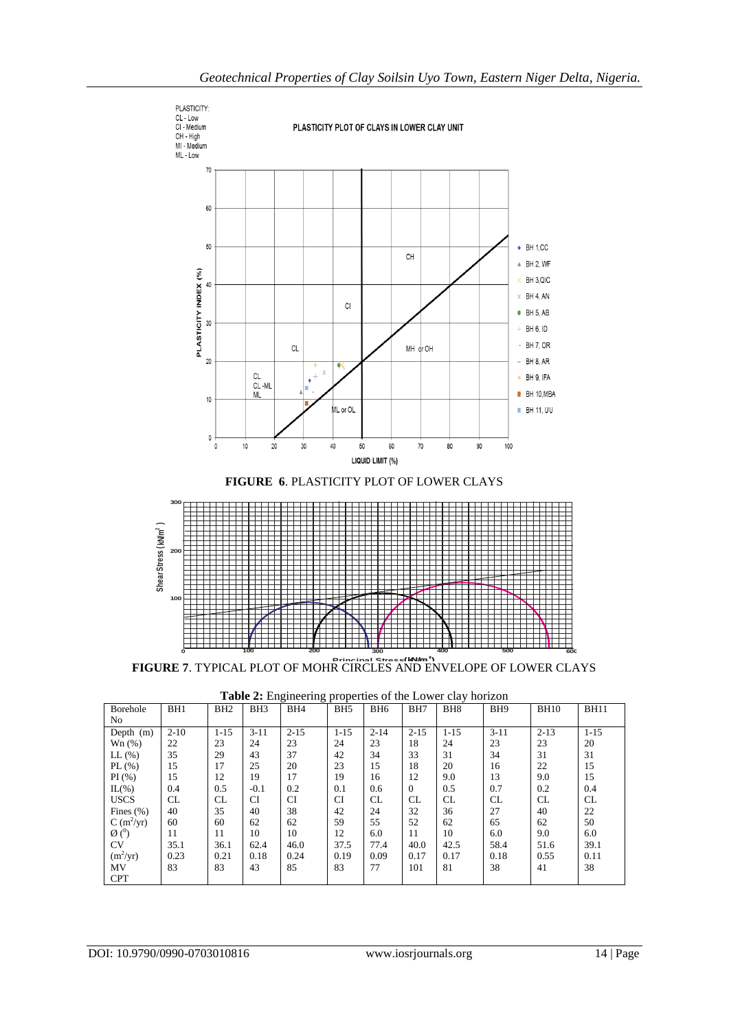

| Table 2: Engineering properties of the Lower clay horizon |  |  |
|-----------------------------------------------------------|--|--|

| <b>Borehole</b>        | BH1       | BH <sub>2</sub> | BH <sub>3</sub> | BH <sub>4</sub> | BH <sub>5</sub> | BH <sub>6</sub> | BH7            | BH <sub>8</sub> | BH <sub>9</sub> | <b>BH10</b> | <b>BH11</b> |
|------------------------|-----------|-----------------|-----------------|-----------------|-----------------|-----------------|----------------|-----------------|-----------------|-------------|-------------|
| No                     |           |                 |                 |                 |                 |                 |                |                 |                 |             |             |
| Depth (m)              | $2 - 10$  | $1 - 15$        | $3 - 11$        | $2 - 15$        | $1 - 15$        | $2 - 14$        | $2 - 15$       | $1 - 15$        | $3 - 11$        | $2 - 13$    | $1 - 15$    |
| Wn(%)                  | 22        | 23              | 24              | 23              | 24              | 23              | 18             | 24              | 23              | 23          | 20          |
| $LL$ $(\%)$            | 35        | 29              | 43              | 37              | 42              | 34              | 33             | 31              | 34              | 31          | 31          |
| PL $(\% )$             | 15        | 17              | 25              | 20              | 23              | 15              | 18             | 20              | 16              | 22          | 15          |
| PI(%)                  | 15        | 12              | 19              | 17              | 19              | 16              | 12             | 9.0             | 13              | 9.0         | 15          |
| $IL(\%)$               | 0.4       | 0.5             | $-0.1$          | 0.2             | 0.1             | 0.6             | $\overline{0}$ | 0.5             | 0.7             | 0.2         | 0.4         |
| <b>USCS</b>            | <b>CL</b> | <b>CL</b>       | <b>CI</b>       | CI              | <b>CI</b>       | <b>CL</b>       | CL             | CL.             | <b>CL</b>       | CL          | CL          |
| Fines $(\% )$          | 40        | 35              | 40              | 38              | 42              | 24              | 32             | 36              | 27              | 40          | 22          |
| $C(m^2/yr)$            | 60        | 60              | 62              | 62              | 59              | 55              | 52             | 62              | 65              | 62          | 50          |
| $\varnothing$ ( $^0$ ) | 11        | 11              | 10              | 10              | 12              | 6.0             | 11             | 10              | 6.0             | 9.0         | 6.0         |
| <b>CV</b>              | 35.1      | 36.1            | 62.4            | 46.0            | 37.5            | 77.4            | 40.0           | 42.5            | 58.4            | 51.6        | 39.1        |
| $(m^2/yr)$             | 0.23      | 0.21            | 0.18            | 0.24            | 0.19            | 0.09            | 0.17           | 0.17            | 0.18            | 0.55        | 0.11        |
| MV                     | 83        | 83              | 43              | 85              | 83              | 77              | 101            | 81              | 38              | 41          | 38          |
| <b>CPT</b>             |           |                 |                 |                 |                 |                 |                |                 |                 |             |             |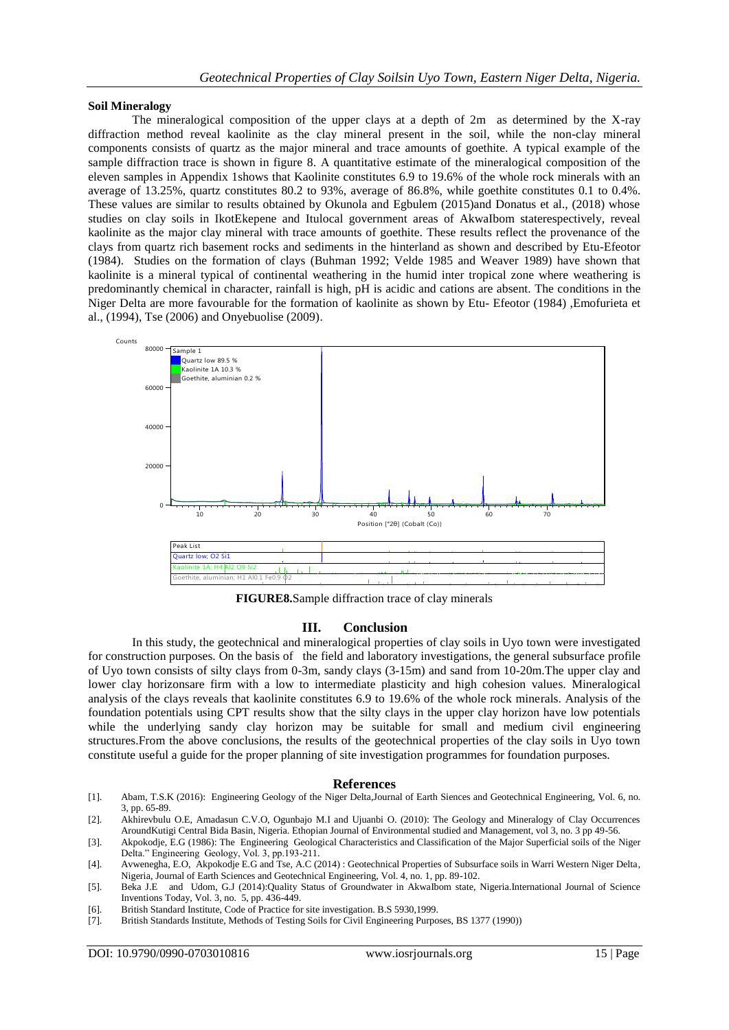#### **Soil Mineralogy**

The mineralogical composition of the upper clays at a depth of 2m as determined by the X-ray diffraction method reveal kaolinite as the clay mineral present in the soil, while the non-clay mineral components consists of quartz as the major mineral and trace amounts of goethite. A typical example of the sample diffraction trace is shown in figure 8. A quantitative estimate of the mineralogical composition of the eleven samples in Appendix 1shows that Kaolinite constitutes 6.9 to 19.6% of the whole rock minerals with an average of 13.25%, quartz constitutes 80.2 to 93%, average of 86.8%, while goethite constitutes 0.1 to 0.4%. These values are similar to results obtained by Okunola and Egbulem (2015)and Donatus et al., (2018) whose studies on clay soils in IkotEkepene and Itulocal government areas of AkwaIbom staterespectively, reveal kaolinite as the major clay mineral with trace amounts of goethite. These results reflect the provenance of the clays from quartz rich basement rocks and sediments in the hinterland as shown and described by Etu-Efeotor (1984). Studies on the formation of clays (Buhman 1992; Velde 1985 and Weaver 1989) have shown that kaolinite is a mineral typical of continental weathering in the humid inter tropical zone where weathering is predominantly chemical in character, rainfall is high, pH is acidic and cations are absent. The conditions in the Niger Delta are more favourable for the formation of kaolinite as shown by Etu- Efeotor (1984) ,Emofurieta et al., (1994), Tse (2006) and Onyebuolise (2009).



**FIGURE8.**Sample diffraction trace of clay minerals

### **III. Conclusion**

In this study, the geotechnical and mineralogical properties of clay soils in Uyo town were investigated for construction purposes. On the basis of the field and laboratory investigations, the general subsurface profile of Uyo town consists of silty clays from 0-3m, sandy clays (3-15m) and sand from 10-20m.The upper clay and lower clay horizonsare firm with a low to intermediate plasticity and high cohesion values. Mineralogical analysis of the clays reveals that kaolinite constitutes 6.9 to 19.6% of the whole rock minerals. Analysis of the foundation potentials using CPT results show that the silty clays in the upper clay horizon have low potentials while the underlying sandy clay horizon may be suitable for small and medium civil engineering structures.From the above conclusions, the results of the geotechnical properties of the clay soils in Uyo town constitute useful a guide for the proper planning of site investigation programmes for foundation purposes.

#### **References**

- [1]. Abam, T.S.K (2016): Engineering Geology of the Niger Delta,Journal of Earth Siences and Geotechnical Engineering, Vol. 6, no. 3, pp. 65-89.
- [2]. Akhirevbulu O.E, Amadasun C.V.O, Ogunbajo M.I and Ujuanbi O. (2010): The Geology and Mineralogy of Clay Occurrences AroundKutigi Central Bida Basin, Nigeria. Ethopian Journal of Environmental studied and Management, vol 3, no. 3 pp 49-56.
- [3]. Akpokodje, E.G (1986): The Engineering Geological Characteristics and Classification of the Major Superficial soils of the Niger Delta." Engineering Geology, Vol. 3, pp.193-211.
- [4]. Avwenegha, E.O, Akpokodje E.G and Tse, A.C (2014) : Geotechnical Properties of Subsurface soils in Warri Western Niger Delta, Nigeria, Journal of Earth Sciences and Geotechnical Engineering, Vol. 4, no. 1, pp. 89-102.
- [5]. Beka J.E and Udom, G.J (2014):Quality Status of Groundwater in AkwaIbom state, Nigeria.International Journal of Science Inventions Today, Vol. 3, no. 5, pp. 436-449.
- [6]. British Standard Institute, Code of Practice for site investigation. B.S 5930,1999.
- [7]. British Standards Institute, Methods of Testing Soils for Civil Engineering Purposes, BS 1377 (1990))